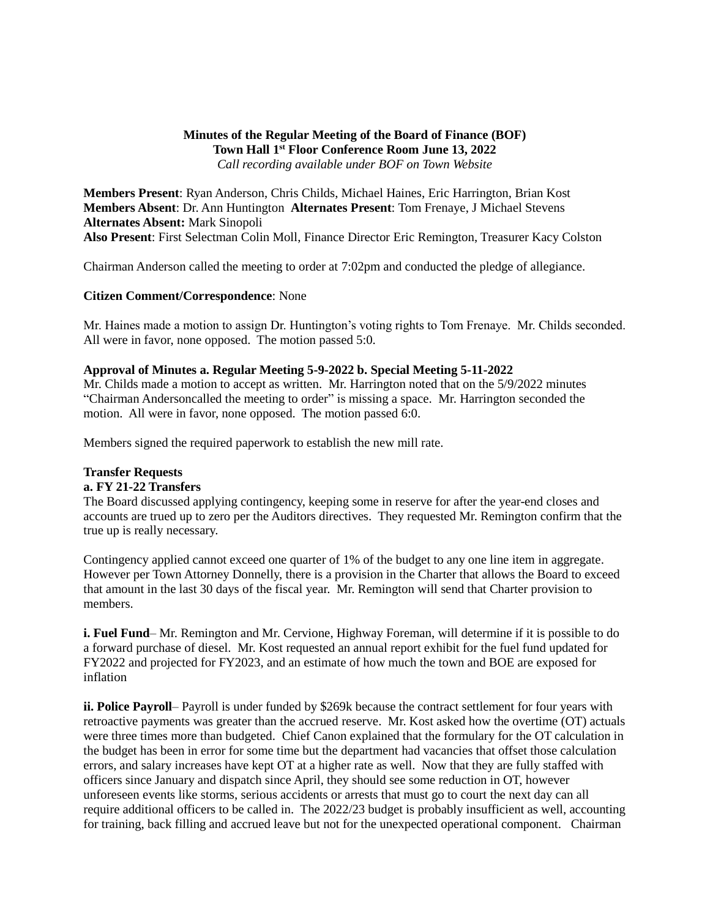## **Minutes of the Regular Meeting of the Board of Finance (BOF) Town Hall 1 st Floor Conference Room June 13, 2022** *Call recording available under BOF on Town Website*

**Members Present**: Ryan Anderson, Chris Childs, Michael Haines, Eric Harrington, Brian Kost **Members Absent**: Dr. Ann Huntington **Alternates Present**: Tom Frenaye, J Michael Stevens **Alternates Absent:** Mark Sinopoli **Also Present**: First Selectman Colin Moll, Finance Director Eric Remington, Treasurer Kacy Colston

Chairman Anderson called the meeting to order at 7:02pm and conducted the pledge of allegiance.

#### **Citizen Comment/Correspondence**: None

Mr. Haines made a motion to assign Dr. Huntington's voting rights to Tom Frenaye. Mr. Childs seconded. All were in favor, none opposed. The motion passed 5:0.

#### **Approval of Minutes a. Regular Meeting 5-9-2022 b. Special Meeting 5-11-2022**

Mr. Childs made a motion to accept as written. Mr. Harrington noted that on the 5/9/2022 minutes "Chairman Andersoncalled the meeting to order" is missing a space. Mr. Harrington seconded the motion. All were in favor, none opposed. The motion passed 6:0.

Members signed the required paperwork to establish the new mill rate.

# **Transfer Requests**

## **a. FY 21-22 Transfers**

The Board discussed applying contingency, keeping some in reserve for after the year-end closes and accounts are trued up to zero per the Auditors directives. They requested Mr. Remington confirm that the true up is really necessary.

Contingency applied cannot exceed one quarter of 1% of the budget to any one line item in aggregate. However per Town Attorney Donnelly, there is a provision in the Charter that allows the Board to exceed that amount in the last 30 days of the fiscal year. Mr. Remington will send that Charter provision to members.

**i. Fuel Fund**– Mr. Remington and Mr. Cervione, Highway Foreman, will determine if it is possible to do a forward purchase of diesel. Mr. Kost requested an annual report exhibit for the fuel fund updated for FY2022 and projected for FY2023, and an estimate of how much the town and BOE are exposed for inflation

**ii. Police Payroll**– Payroll is under funded by \$269k because the contract settlement for four years with retroactive payments was greater than the accrued reserve. Mr. Kost asked how the overtime (OT) actuals were three times more than budgeted. Chief Canon explained that the formulary for the OT calculation in the budget has been in error for some time but the department had vacancies that offset those calculation errors, and salary increases have kept OT at a higher rate as well. Now that they are fully staffed with officers since January and dispatch since April, they should see some reduction in OT, however unforeseen events like storms, serious accidents or arrests that must go to court the next day can all require additional officers to be called in. The 2022/23 budget is probably insufficient as well, accounting for training, back filling and accrued leave but not for the unexpected operational component. Chairman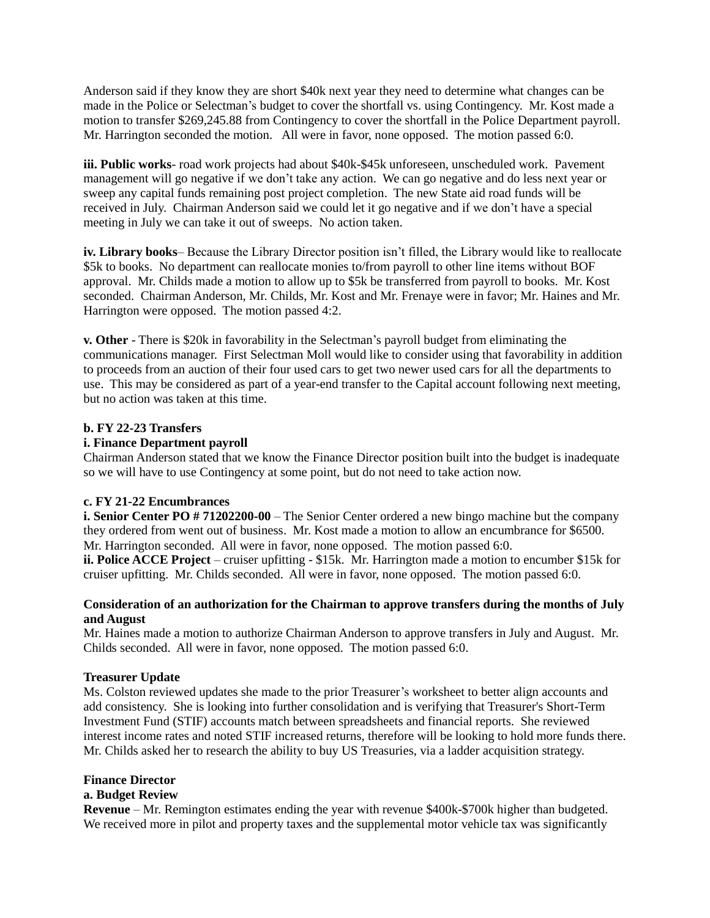Anderson said if they know they are short \$40k next year they need to determine what changes can be made in the Police or Selectman's budget to cover the shortfall vs. using Contingency. Mr. Kost made a motion to transfer \$269,245.88 from Contingency to cover the shortfall in the Police Department payroll. Mr. Harrington seconded the motion. All were in favor, none opposed. The motion passed 6:0.

**iii. Public works**- road work projects had about \$40k-\$45k unforeseen, unscheduled work. Pavement management will go negative if we don't take any action. We can go negative and do less next year or sweep any capital funds remaining post project completion. The new State aid road funds will be received in July. Chairman Anderson said we could let it go negative and if we don't have a special meeting in July we can take it out of sweeps. No action taken.

**iv. Library books**– Because the Library Director position isn't filled, the Library would like to reallocate \$5k to books. No department can reallocate monies to/from payroll to other line items without BOF approval. Mr. Childs made a motion to allow up to \$5k be transferred from payroll to books. Mr. Kost seconded. Chairman Anderson, Mr. Childs, Mr. Kost and Mr. Frenaye were in favor; Mr. Haines and Mr. Harrington were opposed. The motion passed 4:2.

**v. Other** - There is \$20k in favorability in the Selectman's payroll budget from eliminating the communications manager. First Selectman Moll would like to consider using that favorability in addition to proceeds from an auction of their four used cars to get two newer used cars for all the departments to use. This may be considered as part of a year-end transfer to the Capital account following next meeting, but no action was taken at this time.

#### **b. FY 22-23 Transfers**

#### **i. Finance Department payroll**

Chairman Anderson stated that we know the Finance Director position built into the budget is inadequate so we will have to use Contingency at some point, but do not need to take action now.

### **c. FY 21-22 Encumbrances**

**i. Senior Center PO # 71202200-00** – The Senior Center ordered a new bingo machine but the company they ordered from went out of business. Mr. Kost made a motion to allow an encumbrance for \$6500. Mr. Harrington seconded. All were in favor, none opposed. The motion passed 6:0.

**ii. Police ACCE Project** – cruiser upfitting - \$15k. Mr. Harrington made a motion to encumber \$15k for cruiser upfitting. Mr. Childs seconded. All were in favor, none opposed. The motion passed 6:0.

### **Consideration of an authorization for the Chairman to approve transfers during the months of July and August**

Mr. Haines made a motion to authorize Chairman Anderson to approve transfers in July and August. Mr. Childs seconded. All were in favor, none opposed. The motion passed 6:0.

### **Treasurer Update**

Ms. Colston reviewed updates she made to the prior Treasurer's worksheet to better align accounts and add consistency. She is looking into further consolidation and is verifying that Treasurer's Short-Term Investment Fund (STIF) accounts match between spreadsheets and financial reports. She reviewed interest income rates and noted STIF increased returns, therefore will be looking to hold more funds there. Mr. Childs asked her to research the ability to buy US Treasuries, via a ladder acquisition strategy.

### **Finance Director**

### **a. Budget Review**

**Revenue** – Mr. Remington estimates ending the year with revenue \$400k-\$700k higher than budgeted. We received more in pilot and property taxes and the supplemental motor vehicle tax was significantly